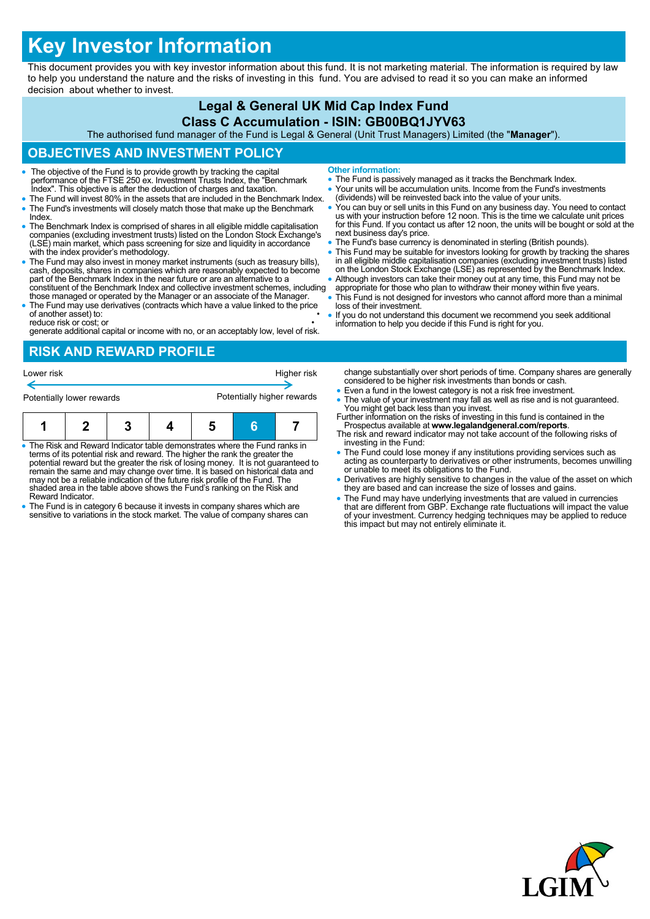# **Key Investor Information**

This document provides you with key investor information about this fund. It is not marketing material. The information is required by law to help you understand the nature and the risks of investing in this fund. You are advised to read it so you can make an informed decision about whether to invest.

#### **Legal & General UK Mid Cap Index Fund Class C Accumulation - ISIN: GB00BQ1JYV63**

The authorised fund manager of the Fund is Legal & General (Unit Trust Managers) Limited (the "**Manager**").

# **OBJECTIVES AND INVESTMENT POLICY**

- The objective of the Fund is to provide growth by tracking the capital performance of the FTSE 250 ex. Investment Trusts Index, the "Benchmark Index". This objective is after the deduction of charges and taxation.
- The Fund will invest 80% in the assets that are included in the Benchmark Index. The Fund's investments will closely match those that make up the Benchmark Index.
- The Benchmark Index is comprised of shares in all eligible middle capitalisation companies (excluding investment trusts) listed on the London Stock Exchange's (LSE) main market, which pass screening for size and liquidity in accordance with the index provider's methodology.
- The Fund may also invest in money market instruments (such as treasury bills), cash, deposits, shares in companies which are reasonably expected to become part of the Benchmark Index in the near future or are an alternat constituent of the Benchmark Index and collective investment schemes, including
- those managed or operated by the Manager or an associate of the Manager. The Fund may use derivatives (contracts which have a value linked to the price of another asset) to:

reduce risk or cost; or • generate additional capital or income with no, or an acceptably low, level of risk.

# **RISK AND REWARD PROFILE**

| Potentially lower rewards |  |  |  |
|---------------------------|--|--|--|
|                           |  |  |  |

- The Risk and Reward Indicator table demonstrates where the Fund ranks in terms of its potential risk and reward. The higher the rank the greater the potential reward but the greater the risk of losing money. It is not guaranteed to remain the same and may change over time. It is based on historical data and may not be a reliable indication of the future risk profile of the Fund. The shaded area in the table above shows the Fund's ranking on the Risk and Reward Indicator.
- The Fund is in category 6 because it invests in company shares which are sensitive to variations in the stock market. The value of company shares can
- **Other information:**
- The Fund is passively managed as it tracks the Benchmark Index.
- Your units will be accumulation units. Income from the Fund's investments (dividends) will be reinvested back into the value of your units.
- You can buy or sell units in this Fund on any business day. You need to contact<br>us with your instruction before 12 noon. This is the time we calculate unit prices<br>for this Fund. If you contact us after 12 noon, the units next business day's price.
- The Fund's base currency is denominated in sterling (British pounds).
- This Fund may be suitable for investors looking for growth by tracking the shares in all eligible middle capitalisation companies (excluding investment trusts) listed on the London Stock Exchange (LSE) as represented by the Benchmark Index.
- Although investors can take their money out at any time, this Fund may not be appropriate for those who plan to withdraw their money within five years.
- This Fund is not designed for investors who cannot afford more than a minimal loss of their investment.
- If you do not understand this document we recommend you seek additional information to help you decide if this Fund is right for you.

change substantially over short periods of time. Company shares are generally considered to be higher risk investments than bonds or cash.

- Even a fund in the lowest category is not a risk free investment.
- The value of your investment may fall as well as rise and is not guaranteed. You might get back less than you invest. Further information on the risks of investing in this fund is contained in the
- Prospectus available at **www.legalandgeneral.com/reports**. The risk and reward indicator may not take account of the following risks of
- investing in the Fund: The Fund could lose money if any institutions providing services such as acting as counterparty to derivatives or other instruments, becomes unwilling or unable to meet its obligations to the Fund.
- Derivatives are highly sensitive to changes in the value of the asset on which they are based and can increase the size of losses and gains.
- The Fund may have underlying investments that are valued in currencies<br>that are different from GBP. Exchange rate fluctuations will impact the value<br>of your investment. Currency hedging techniques may be applied to reduc